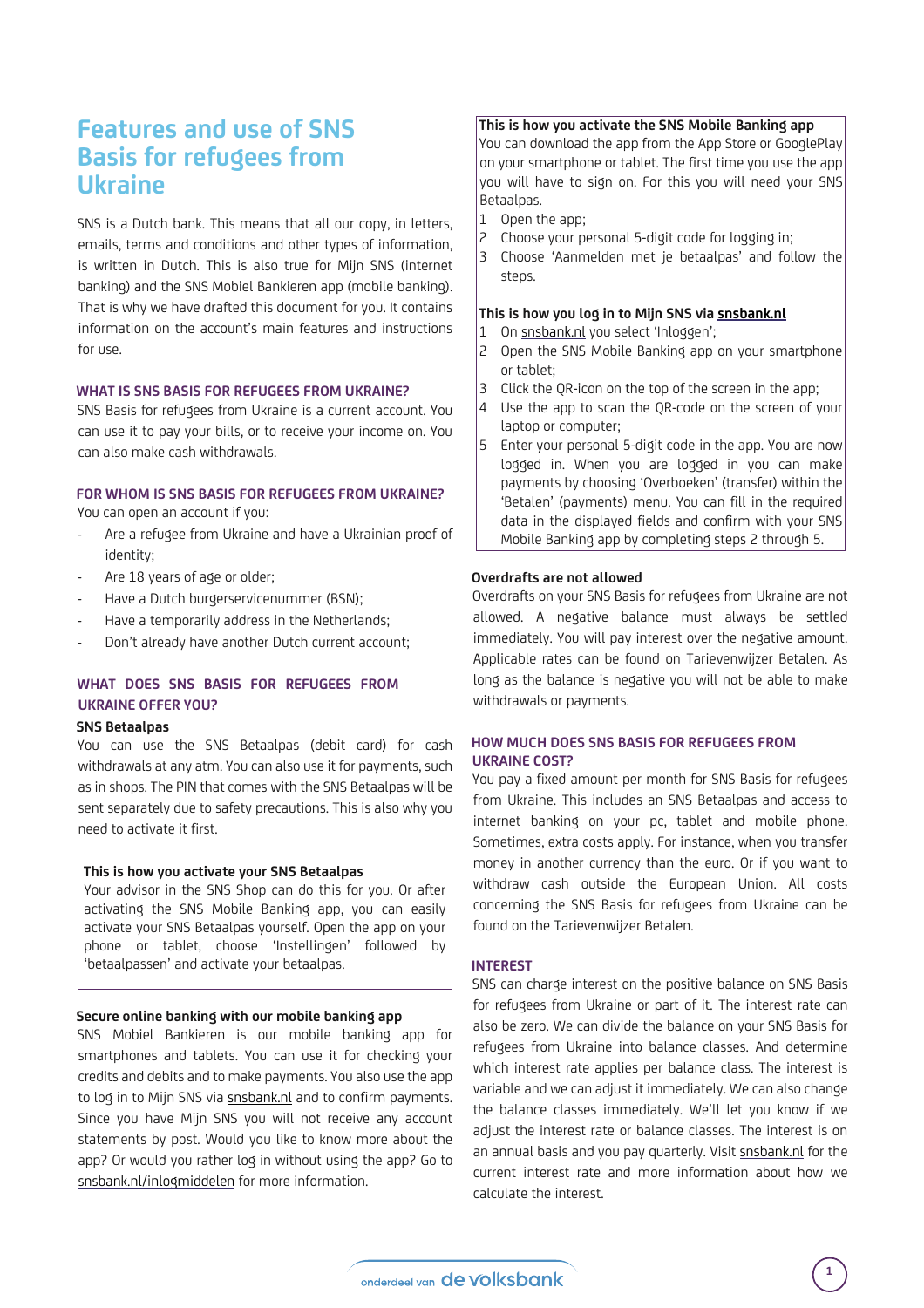# **Features and use of SNS Basis for refugees from Ukraine**

SNS is a Dutch bank. This means that all our copy, in letters, emails, terms and conditions and other types of information, is written in Dutch. This is also true for Mijn SNS (internet banking) and the SNS Mobiel Bankieren app (mobile banking). That is why we have drafted this document for you. It contains information on the account's main features and instructions for use.

#### **WHAT IS SNS BASIS FOR REFUGEES FROM UKRAINE?**

SNS Basis for refugees from Ukraine is a current account. You can use it to pay your bills, or to receive your income on. You can also make cash withdrawals.

#### **FOR WHOM IS SNS BASIS FOR REFUGEES FROM UKRAINE?**  You can open an account if you:

- Are a refugee from Ukraine and have a Ukrainian proof of identity;
- Are 18 years of age or older;
- Have a Dutch burgerservicenummer (BSN);
- Have a temporarily address in the Netherlands;
- Don't already have another Dutch current account;

## **WHAT DOES SNS BASIS FOR REFUGEES FROM UKRAINE OFFER YOU?**

#### **SNS Betaalpas**

You can use the SNS Betaalpas (debit card) for cash withdrawals at any atm. You can also use it for payments, such as in shops. The PIN that comes with the SNS Betaalpas will be sent separately due to safety precautions. This is also why you need to activate it first.

#### **This is how you activate your SNS Betaalpas**

Your advisor in the SNS Shop can do this for you. Or after activating the SNS Mobile Banking app, you can easily activate your SNS Betaalpas yourself. Open the app on your phone or tablet, choose 'Instellingen' followed by 'betaalpassen' and activate your betaalpas.

#### **Secure online banking with our mobile banking app**

SNS Mobiel Bankieren is our mobile banking app for smartphones and tablets. You can use it for checking your credits and debits and to make payments. You also use the app to log in to Mijn SNS via snsbank.nl and to confirm payments. Since you have Mijn SNS you will not receive any account statements by post. Would you like to know more about the app? Or would you rather log in without using the app? Go to snsbank.nl/inlogmiddelen for more information.

#### **This is how you activate the SNS Mobile Banking app**

You can download the app from the App Store or GooglePlay on your smartphone or tablet. The first time you use the app you will have to sign on. For this you will need your SNS Betaalpas.

- 1 Open the app;
- 2 Choose your personal 5-digit code for logging in;
- 3 Choose 'Aanmelden met je betaalpas' and follow the steps.

#### **This is how you log in to Mijn SNS via snsbank.nl**

- 1 On snsbank.nl you select 'Inloggen';
- 2 Open the SNS Mobile Banking app on your smartphone or tablet;
- 3 Click the QR-icon on the top of the screen in the app;
- 4 Use the app to scan the QR-code on the screen of your laptop or computer;
- 5 Enter your personal 5-digit code in the app. You are now logged in. When you are logged in you can make payments by choosing 'Overboeken' (transfer) within the 'Betalen' (payments) menu. You can fill in the required data in the displayed fields and confirm with your SNS Mobile Banking app by completing steps 2 through 5.

#### **Overdrafts are not allowed**

Overdrafts on your SNS Basis for refugees from Ukraine are not allowed. A negative balance must always be settled immediately. You will pay interest over the negative amount. Applicable rates can be found on Tarievenwijzer Betalen. As long as the balance is negative you will not be able to make withdrawals or payments.

#### **HOW MUCH DOES SNS BASIS FOR REFUGEES FROM UKRAINE COST?**

You pay a fixed amount per month for SNS Basis for refugees from Ukraine. This includes an SNS Betaalpas and access to internet banking on your pc, tablet and mobile phone. Sometimes, extra costs apply. For instance, when you transfer money in another currency than the euro. Or if you want to withdraw cash outside the European Union. All costs concerning the SNS Basis for refugees from Ukraine can be found on the Tarievenwijzer Betalen.

## **INTEREST**

SNS can charge interest on the positive balance on SNS Basis for refugees from Ukraine or part of it. The interest rate can also be zero. We can divide the balance on your SNS Basis for refugees from Ukraine into balance classes. And determine which interest rate applies per balance class. The interest is variable and we can adjust it immediately. We can also change the balance classes immediately. We'll let you know if we adjust the interest rate or balance classes. The interest is on an annual basis and you pay quarterly. Visit snsbank.nl for the current interest rate and more information about how we calculate the interest.

**1**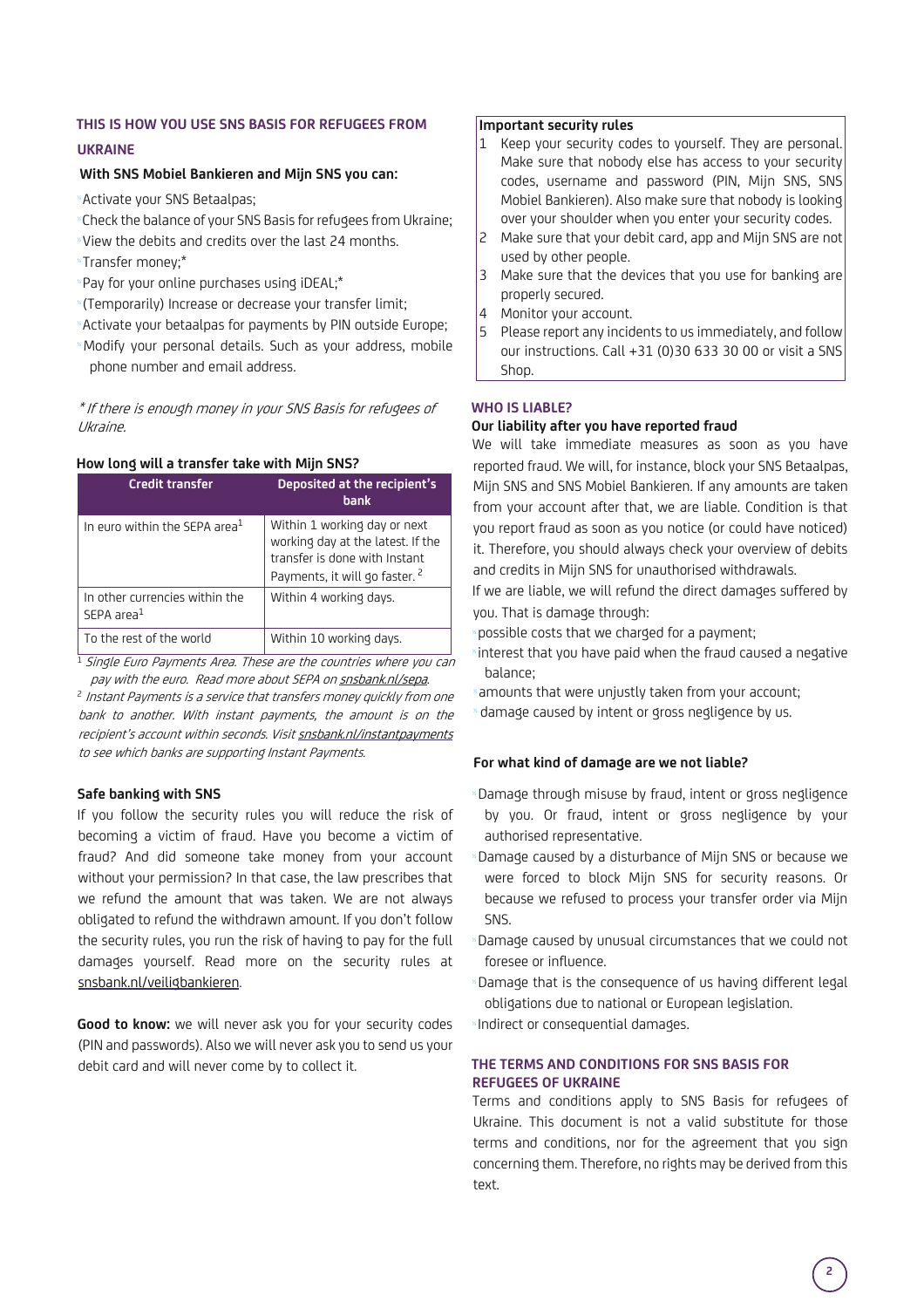## **THIS IS HOW YOU USE SNS BASIS FOR REFUGEES FROM**

## **UKRAINE**

#### **With SNS Mobiel Bankieren and Mijn SNS you can:**

<sup>½</sup>Activate your SNS Betaalpas;

- <sup>½</sup>Check the balance of your SNS Basis for refugees from Ukraine;
- <sup>½</sup>View the debits and credits over the last 24 months.
- <sup>½</sup>Transfer money;\*
- <sup>½</sup>Pay for your online purchases using iDEAL;\*
- <sup>½</sup>(Temporarily) Increase or decrease your transfer limit;
- <sup>½</sup>Activate your betaalpas for payments by PIN outside Europe; <sup>½</sup>Modify your personal details. Such as your address, mobile
- phone number and email address.

\* If there is enough money in your SNS Basis for refugees of Ukraine.

## **How long will a transfer take with Mijn SNS?**

| <b>Credit transfer</b>                                   | Deposited at the recipient's<br><b>bank</b>                                                                                                     |
|----------------------------------------------------------|-------------------------------------------------------------------------------------------------------------------------------------------------|
| In euro within the SEPA area <sup>1</sup>                | Within 1 working day or next<br>working day at the latest. If the<br>transfer is done with Instant<br>Payments, it will go faster. <sup>2</sup> |
| In other currencies within the<br>SFPA area <sup>1</sup> | Within 4 working days.                                                                                                                          |
| To the rest of the world                                 | Within 10 working days.                                                                                                                         |

<sup>1</sup> Single Euro Payments Area. These are the countries where you can pay with the euro. Read more about SEPA on snsbank.nl/sepa.

<sup>2</sup> Instant Payments is a service that transfers money quickly from one bank to another. With instant payments, the amount is on the recipient's account within seconds. Visit snsbank.nl/instantpayments to see which banks are supporting Instant Payments.

## **Safe banking with SNS**

If you follow the security rules you will reduce the risk of becoming a victim of fraud. Have you become a victim of fraud? And did someone take money from your account without your permission? In that case, the law prescribes that we refund the amount that was taken. We are not always obligated to refund the withdrawn amount. If you don't follow the security rules, you run the risk of having to pay for the full damages yourself. Read more on the security rules at snsbank.nl/veiligbankieren.

**Good to know:** we will never ask you for your security codes (PIN and passwords). Also we will never ask you to send us your debit card and will never come by to collect it.

#### **Important security rules**

- 1 Keep your security codes to yourself. They are personal. Make sure that nobody else has access to your security codes, username and password (PIN, Mijn SNS, SNS Mobiel Bankieren). Also make sure that nobody is looking over your shoulder when you enter your security codes.
- 2 Make sure that your debit card, app and Mijn SNS are not used by other people.
- 3 Make sure that the devices that you use for banking are properly secured.
- 4 Monitor your account.
- 5 Please report any incidents to us immediately, and follow our instructions. Call +31 (0)30 633 30 00 or visit a SNS Shop.

## **WHO IS LIABLE?**

#### **Our liability after you have reported fraud**

We will take immediate measures as soon as you have reported fraud. We will, for instance, block your SNS Betaalpas, Mijn SNS and SNS Mobiel Bankieren. If any amounts are taken from your account after that, we are liable. Condition is that you report fraud as soon as you notice (or could have noticed) it. Therefore, you should always check your overview of debits and credits in Mijn SNS for unauthorised withdrawals.

If we are liable, we will refund the direct damages suffered by you. That is damage through:

possible costs that we charged for a payment;

- interest that you have paid when the fraud caused a negative balance;
- amounts that were unjustly taken from your account;
- damage caused by intent or gross negligence by us.

#### **For what kind of damage are we not liable?**

- <sup>½</sup>Damage through misuse by fraud, intent or gross negligence by you. Or fraud, intent or gross negligence by your authorised representative.
- Damage caused by a disturbance of Mijn SNS or because we were forced to block Mijn SNS for security reasons. Or because we refused to process your transfer order via Mijn SNS.
- Damage caused by unusual circumstances that we could not foresee or influence.
- Damage that is the consequence of us having different legal obligations due to national or European legislation.

Indirect or consequential damages.

## **THE TERMS AND CONDITIONS FOR SNS BASIS FOR REFUGEES OF UKRAINE**

Terms and conditions apply to SNS Basis for refugees of Ukraine. This document is not a valid substitute for those terms and conditions, nor for the agreement that you sign concerning them. Therefore, no rights may be derived from this text.